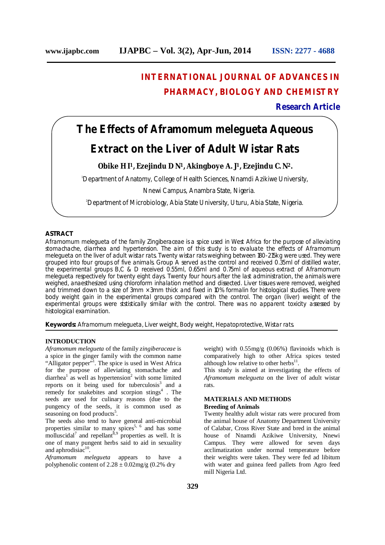## **INTERNATIONAL JOURNAL OF ADVANCES IN PHARMACY, BIOLOGY AND CHEMISTRY**

**Research Article**

# **The Effects of Aframomum melegueta Aqueous Extract on the Liver of Adult Wistar Rats**

### **Obike H I1, Ezejindu D N1, Akingboye A. J1, Ezejindu C. N2.**

<sup>1</sup>Department of Anatomy, College of Health Sciences, Nnamdi Azikiwe University,

Nnewi Campus, Anambra State, Nigeria.

2Department of Microbiology, Abia State University, Uturu, Abia State, Nigeria.

#### **ASTRACT**

*Aframomum melegueta* of the family *Zingiberaceae* is a spice used in West Africa for the purpose of alleviating stomachache, diarrhea and hypertension. The aim of this study is to evaluate the effects of *Aframomum melegueta* on the liver of adult wistar rats. Twenty wistar rats weighing between 180-215kg were used. They were grouped into four groups of five animals. Group A served as the control and received 0.35ml of distilled water, the experimental groups B,C & D received 0.55ml, 0.65ml and 0.75ml of aqueous extract of *Aframomum melegueta* respectively for twenty eight days. Twenty four hours after the last administration, the animals were weighed, anaesthesized using chloroform inhalation method and dissected. Liver tissues were removed, weighed and trimmed down to a size of 3mm  $\times$  3mm thick and fixed in 10% formalin for histological studies. There were body weight gain in the experimental groups compared with the control. The organ (liver) weight of the experimental groups were ststistically similar with the control. There was no apparent toxicity assessed by histological examination.

**Keywords:** *Aframomum melegueta*, Liver weight, Body weight, Hepatoprotective, Wistar rats.

#### **INTRODUCTION**

*Aframomum melegueta* of the family *zingiberaceae* is a spice in the ginger family with the common name "Alligator pepper"<sup>1</sup>. The spice is used in West Africa for the purpose of alleviating stomachache and diarrhea<sup>1</sup> as well as hypertension<sup>2</sup> with some limited reports on it being used for tuberculosis<sup>3</sup> and a remedy for snakebites and scorpion stings<sup>4</sup>. The seeds are used for culinary reasons (due to the pungency of the seeds, it is common used as seasoning on food products<sup>5</sup>.

The seeds also tend to have general anti-microbial properties similar to many spices<sup>5, 6</sup> and has some molluscidal<sup>7</sup> and repellant<sup>8,9</sup> properties as well. It is one of many pungent herbs said to aid in sexuality and aphrodisiac<sup>10</sup>.

*Aframomum melegueta* appears to have a polyphenolic content of  $2.28 \pm 0.02$  mg/g (0.2% dry

weight) with 0.55mg/g (0.06%) flavinoids which is comparatively high to other Africa spices tested although low relative to other herbs $^{11}$ .

This study is aimed at investigating the effects of *Aframomum melegueta* on the liver of adult wistar rats.

#### **MATERIALS AND METHODS Breeding of Animals**

Twenty healthy adult wistar rats were procured from the animal house of Anatomy Department University of Calabar, Cross River State and bred in the animal house of Nnamdi Azikiwe University, Nnewi Campus. They were allowed for seven days acclimatization under normal temperature before their weights were taken. They were fed ad libitum with water and guinea feed pallets from Agro feed mill Nigeria Ltd.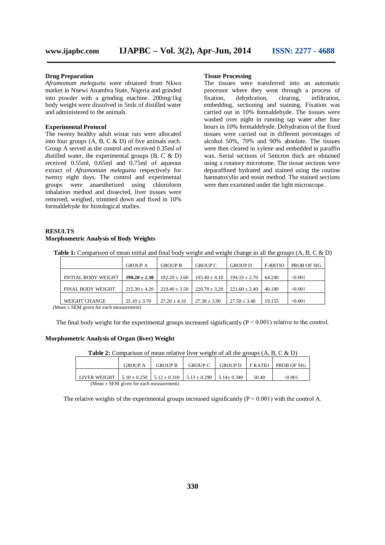#### **Drug Preparation**

*Aframomum melegueta* were obtained from Nkwo market in Nnewi Anambra State, Nigeria and grinded into powder with a grinding machine. 200mg/1kg body weight were dissolved in 5mls of distilled water and administered to the animals.

#### **Experimental Protocol**

The twenty healthy adult wistar rats were allocated into four groups (A, B, C & D) of five animals each. Group A served as the control and received 0.35ml of distilled water, the experimental groups (B, C & D) received 0.55ml, 0.65ml and 0.75ml of aqueous extract of *Aframomum melegueta* respectively for twenty eight days. The control and experimental groups were anaesthetized using chloroform inhalation method and dissected, liver tissues were removed, weighed, trimmed down and fixed in 10% formaldehyde for histological studies.

#### **Tissue Processing**

The tissues were transferred into an automatic processor where they went through a process of fixation, dehydration, clearing, infiltration, embedding, sectioning and staining. Fixation was carried out in 10% formaldehyde. The tissues were washed over night in running tap water after four hours in 10% formaldehyde. Dehydration of the fixed tissues were carried out in different percentages of alcohol 50%, 70% and 90% absolute. The tissues were then cleared in xylene and embedded in paraffin wax. Serial sections of 5micron thick are obtained using a rotatory microtome. The tissue sections were deparaffined hydrated and stained using the routine haematoxylin and eosin method. The stained sections were then examined under the light microscope.

#### **RESULTS Morphometric Analysis of Body Weights**

Table 1: Comparison of mean initial and final body weight and weight change in all the groups  $(A, B, C \& D)$ 

|                            | <b>GROUP A</b>    | <b>GROUP B</b>    | <b>GROUP C</b>    | <b>GROUP D</b>    | F-RRTIO | PROB OF SIG |
|----------------------------|-------------------|-------------------|-------------------|-------------------|---------|-------------|
| <b>INITIAL BODY WEIGHT</b> | $190.20 \pm 2.30$ | $192.20 \pm 3.60$ | $193.40 + 4.10$   | $194.10 \pm 2.70$ | 64.240  | < 0.001     |
| <b>FINAL BODY WEIGHT</b>   | $215.30 + 4.20$   | $219.40 \pm 3.50$ | $220.70 \pm 3.20$ | $221.60 \pm 2.40$ | 40.180  | < 0.001     |
| WEIGHT CHANGE              | $25.10 \pm 3.70$  | $27.20 \pm 4.10$  | $27.30 \pm 3.90$  | $27.50 \pm 3.40$  | 19.155  | < 0.001     |

(Mean  $\pm$  SEM given for each measurement)

The final body weight for the experimental groups increased significantly  $(P < 0.001)$  relative to the control.

#### **Morphometric Analysis of Organ (liver) Weight**

**Table 2:** Comparison of mean relative liver weight of all the groups (A, B, C & D)

|                                                                                                          | <b>GROUP A</b> | <b>GROUP B</b> | <b>GROUP C</b> | <b>GROUP D</b> | <b>FRATIO</b> | <b>PROB OF SIG</b> |  |  |
|----------------------------------------------------------------------------------------------------------|----------------|----------------|----------------|----------------|---------------|--------------------|--|--|
|                                                                                                          |                |                |                |                |               |                    |  |  |
| LIVER WEIGHT $\pm$ 5.10 $\pm$ 0.250 $\pm$ 5.12 $\pm$ 0.310 $\pm$ 5.13 $\pm$ 0.290 $\pm$ 5.14 $\pm$ 0.340 |                |                |                |                | 50.40         | < 0.001            |  |  |
| (Mean $\pm$ SEM given for each measurement)                                                              |                |                |                |                |               |                    |  |  |

The relative weights of the experimental groups increased significantly  $(P < 0.001)$  with the control A.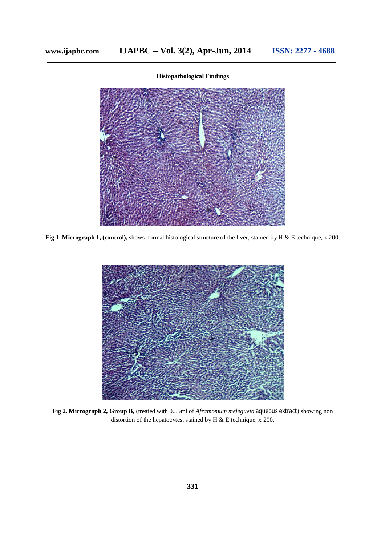#### **Histopathological Findings**



**Fig 1. Micrograph 1, (control),** shows normal histological structure of the liver, stained by H & E technique, x 200.



**Fig 2. Micrograph 2, Group B,** (treated with 0.55ml of *Aframomum melegueta* aqueous extract) showing non distortion of the hepatocytes, stained by H & E technique, x 200.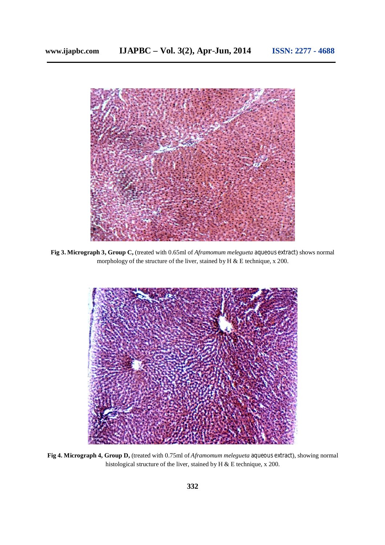

**Fig 3. Micrograph 3, Group C,** (treated with 0.65ml of *Aframomum melegueta* aqueous extract) shows normal morphology of the structure of the liver, stained by H & E technique, x 200.



**Fig 4. Micrograph 4, Group D,** (treated with 0.75ml of *Aframomum melegueta* aqueous extract), showing normal histological structure of the liver, stained by H & E technique, x 200.